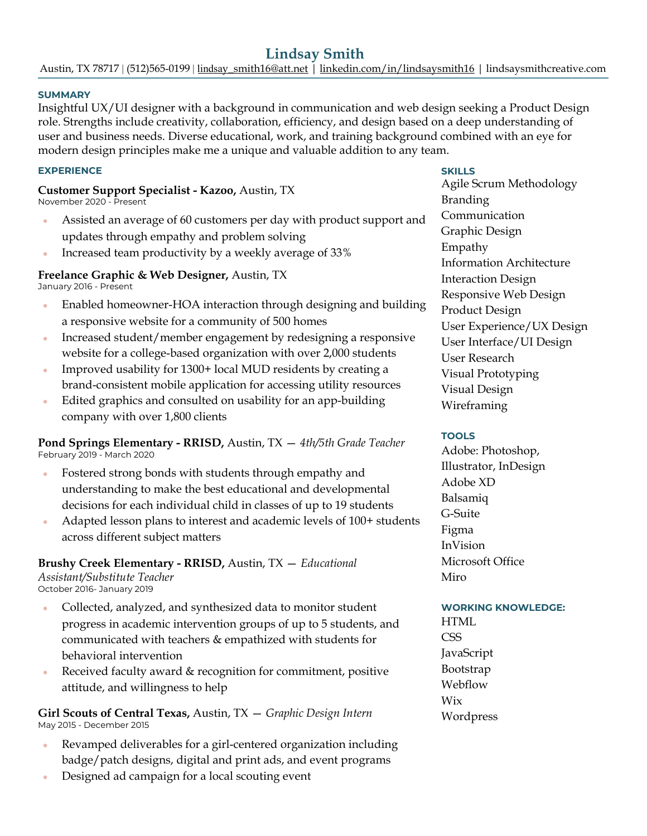### **SUMMARY**

Insightful UX/UI designer with a background in communication and web design seeking a Product Design role. Strengths include creativity, collaboration, efficiency, and design based on a deep understanding of user and business needs. Diverse educational, work, and training background combined with an eye for modern design principles make me a unique and valuable addition to any team.

#### **EXPERIENCE**

**Customer Support Specialist - Kazoo,** Austin, TX November 2020 - Present

- Assisted an average of 60 customers per day with product support and updates through empathy and problem solving
- Increased team productivity by a weekly average of 33%

### **Freelance Graphic & Web Designer,** Austin, TX

January 2016 - Present

- Enabled homeowner-HOA interaction through designing and building a responsive website for a community of 500 homes
- Increased student/member engagement by redesigning a responsive website for a college-based organization with over 2,000 students
- Improved usability for 1300+ local MUD residents by creating a brand-consistent mobile application for accessing utility resources
- Edited graphics and consulted on usability for an app-building company with over 1,800 clients

**Pond Springs Elementary - RRISD,** Austin, TX — *4th/5th Grade Teacher* February 2019 - March 2020

- Fostered strong bonds with students through empathy and understanding to make the best educational and developmental decisions for each individual child in classes of up to 19 students
- Adapted lesson plans to interest and academic levels of 100+ students across different subject matters

**Brushy Creek Elementary - RRISD,** Austin, TX — *Educational Assistant/Substitute Teacher* October 2016- January 2019

- Collected, analyzed, and synthesized data to monitor student progress in academic intervention groups of up to 5 students, and communicated with teachers & empathized with students for behavioral intervention
- Received faculty award  $&$  recognition for commitment, positive attitude, and willingness to help

**Girl Scouts of Central Texas,** Austin, TX — *Graphic Design Intern* May 2015 - December 2015

- Revamped deliverables for a girl-centered organization including badge/patch designs, digital and print ads, and event programs
- Designed ad campaign for a local scouting event

### **SKILLS**

Agile Scrum Methodology Branding Communication Graphic Design Empathy Information Architecture Interaction Design Responsive Web Design Product Design User Experience/UX Design User Interface/UI Design User Research Visual Prototyping Visual Design Wireframing

### **TOOLS**

Adobe: Photoshop, Illustrator, InDesign Adobe XD Balsamiq G-Suite Figma InVision Microsoft Office Miro

### **WORKING KNOWLEDGE:** HTML

**CSS** JavaScript Bootstrap Webflow Wix Wordpress